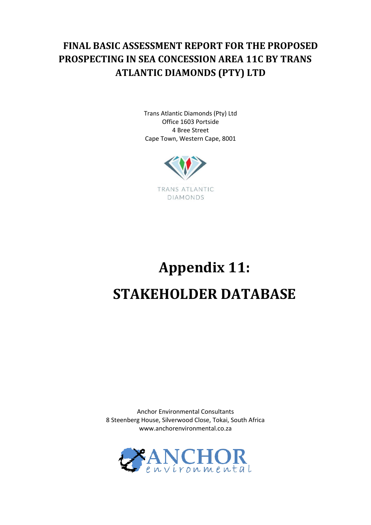## **FINAL BASIC ASSESSMENT REPORT FOR THE PROPOSED PROSPECTING IN SEA CONCESSION AREA 11C BY TRANS ATLANTIC DIAMONDS (PTY) LTD**

Trans Atlantic Diamonds (Pty) Ltd Office 1603 Portside 4 Bree Street Cape Town, Western Cape, 8001



# **Appendix 11: STAKEHOLDER DATABASE**

Anchor Environmental Consultants 8 Steenberg House, Silverwood Close, Tokai, South Africa www.anchorenvironmental.co.za

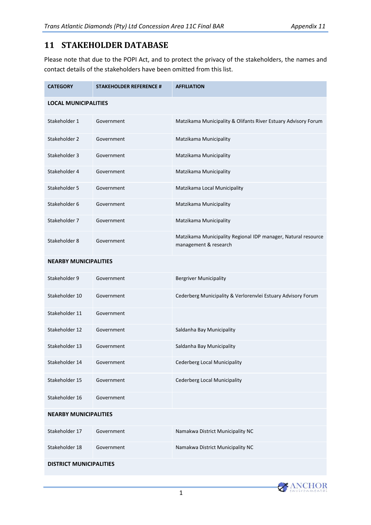### **11 STAKEHOLDER DATABASE**

Please note that due to the POPI Act, and to protect the privacy of the stakeholders, the names and contact details of the stakeholders have been omitted from this list.

| <b>CATEGORY</b>              | <b>STAKEHOLDER REFERENCE #</b> | <b>AFFILIATION</b>                                                                     |
|------------------------------|--------------------------------|----------------------------------------------------------------------------------------|
| <b>LOCAL MUNICIPALITIES</b>  |                                |                                                                                        |
| Stakeholder 1                | Government                     | Matzikama Municipality & Olifants River Estuary Advisory Forum                         |
| Stakeholder 2                | Government                     | Matzikama Municipality                                                                 |
| Stakeholder 3                | Government                     | Matzikama Municipality                                                                 |
| Stakeholder 4                | Government                     | Matzikama Municipality                                                                 |
| Stakeholder 5                | Government                     | Matzikama Local Municipality                                                           |
| Stakeholder 6                | Government                     | Matzikama Municipality                                                                 |
| Stakeholder 7                | Government                     | Matzikama Municipality                                                                 |
| Stakeholder 8                | Government                     | Matzikama Municipality Regional IDP manager, Natural resource<br>management & research |
| <b>NEARBY MUNICIPALITIES</b> |                                |                                                                                        |
| Stakeholder 9                | Government                     | <b>Bergriver Municipality</b>                                                          |
| Stakeholder 10               | Government                     | Cederberg Municipality & Verlorenvlei Estuary Advisory Forum                           |
| Stakeholder 11               | Government                     |                                                                                        |
| Stakeholder 12               | Government                     | Saldanha Bay Municipality                                                              |
| Stakeholder 13               | Government                     | Saldanha Bay Municipality                                                              |
| Stakeholder 14               | Government                     | Cederberg Local Municipality                                                           |
| Stakeholder 15               | Government                     | <b>Cederberg Local Municipality</b>                                                    |
| Stakeholder 16               | Government                     |                                                                                        |
| <b>NEARBY MUNICIPALITIES</b> |                                |                                                                                        |
| Stakeholder 17               | Government                     | Namakwa District Municipality NC                                                       |
| Stakeholder 18               | Government                     | Namakwa District Municipality NC                                                       |
|                              |                                |                                                                                        |

#### **DISTRICT MUNICIPALITIES**

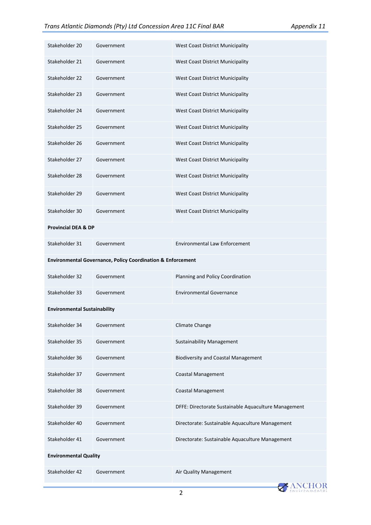| Stakeholder 20                                                         | Government | West Coast District Municipality                     |
|------------------------------------------------------------------------|------------|------------------------------------------------------|
| Stakeholder 21                                                         | Government | West Coast District Municipality                     |
| Stakeholder 22                                                         | Government | West Coast District Municipality                     |
| Stakeholder 23                                                         | Government | West Coast District Municipality                     |
| Stakeholder 24                                                         | Government | West Coast District Municipality                     |
| Stakeholder 25                                                         | Government | West Coast District Municipality                     |
| Stakeholder 26                                                         | Government | West Coast District Municipality                     |
| Stakeholder 27                                                         | Government | West Coast District Municipality                     |
| Stakeholder 28                                                         | Government | West Coast District Municipality                     |
| Stakeholder 29                                                         | Government | West Coast District Municipality                     |
| Stakeholder 30                                                         | Government | West Coast District Municipality                     |
| <b>Provincial DEA &amp; DP</b>                                         |            |                                                      |
| Stakeholder 31                                                         | Government | <b>Environmental Law Enforcement</b>                 |
| <b>Environmental Governance, Policy Coordination &amp; Enforcement</b> |            |                                                      |
|                                                                        |            |                                                      |
| Stakeholder 32                                                         | Government | Planning and Policy Coordination                     |
| Stakeholder 33                                                         | Government | <b>Environmental Governance</b>                      |
| <b>Environmental Sustainability</b>                                    |            |                                                      |
| Stakeholder 34                                                         | Government | Climate Change                                       |
| Stakeholder 35                                                         | Government | <b>Sustainability Management</b>                     |
| Stakeholder 36                                                         | Government | <b>Biodiversity and Coastal Management</b>           |
| Stakeholder 37                                                         | Government | <b>Coastal Management</b>                            |
| Stakeholder 38                                                         | Government | <b>Coastal Management</b>                            |
| Stakeholder 39                                                         | Government | DFFE: Directorate Sustainable Aquaculture Management |
| Stakeholder 40                                                         | Government | Directorate: Sustainable Aquaculture Management      |
| Stakeholder 41                                                         | Government | Directorate: Sustainable Aquaculture Management      |
| <b>Environmental Quality</b>                                           |            |                                                      |

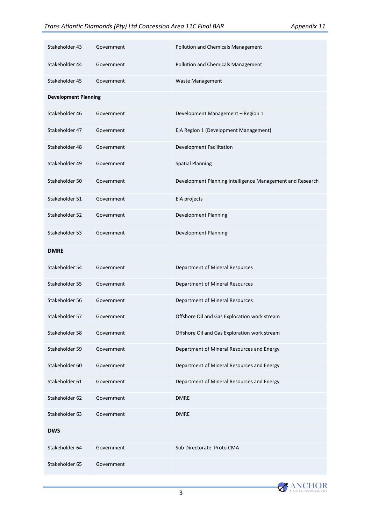| Stakeholder 43              | Government | Pollution and Chemicals Management                        |
|-----------------------------|------------|-----------------------------------------------------------|
|                             |            |                                                           |
| Stakeholder 44              | Government | Pollution and Chemicals Management                        |
| Stakeholder 45              | Government | Waste Management                                          |
| <b>Development Planning</b> |            |                                                           |
| Stakeholder 46              | Government | Development Management - Region 1                         |
| Stakeholder 47              | Government | EIA Region 1 (Development Management)                     |
| Stakeholder 48              | Government | Development Facilitation                                  |
| Stakeholder 49              | Government | <b>Spatial Planning</b>                                   |
| Stakeholder 50              | Government | Development Planning Intelligence Management and Research |
| Stakeholder 51              | Government | EIA projects                                              |
| Stakeholder 52              | Government | <b>Development Planning</b>                               |
| Stakeholder 53              | Government | Development Planning                                      |
| <b>DMRE</b>                 |            |                                                           |
| Stakeholder 54              | Government | Department of Mineral Resources                           |
| Stakeholder 55              | Government | Department of Mineral Resources                           |
| Stakeholder 56              | Government | Department of Mineral Resources                           |
| Stakeholder 57              | Government | Offshore Oil and Gas Exploration work stream              |
| Stakeholder 58              | Government | Offshore Oil and Gas Exploration work stream              |
| Stakeholder 59              | Government | Department of Mineral Resources and Energy                |
| Stakeholder 60              | Government | Department of Mineral Resources and Energy                |
| Stakeholder 61              | Government | Department of Mineral Resources and Energy                |
| Stakeholder 62              | Government | <b>DMRE</b>                                               |
| Stakeholder 63              | Government | <b>DMRE</b>                                               |
| <b>DWS</b>                  |            |                                                           |
| Stakeholder 64              | Government | Sub Directorate: Proto CMA                                |
| Stakeholder 65              | Government |                                                           |

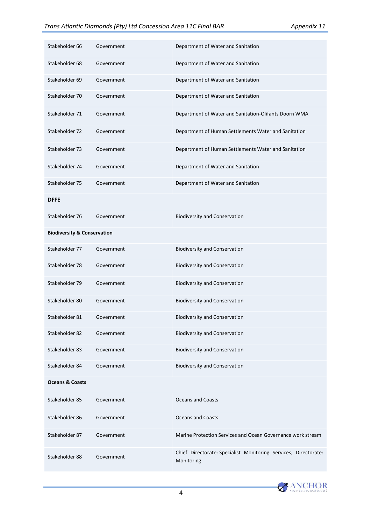| Stakeholder 66                         | Government | Department of Water and Sanitation                                            |
|----------------------------------------|------------|-------------------------------------------------------------------------------|
| Stakeholder 68                         | Government | Department of Water and Sanitation                                            |
| Stakeholder 69                         | Government | Department of Water and Sanitation                                            |
| Stakeholder 70                         | Government | Department of Water and Sanitation                                            |
| Stakeholder 71                         | Government | Department of Water and Sanitation-Olifants Doorn WMA                         |
| Stakeholder 72                         | Government | Department of Human Settlements Water and Sanitation                          |
| Stakeholder 73                         | Government | Department of Human Settlements Water and Sanitation                          |
| Stakeholder 74                         | Government | Department of Water and Sanitation                                            |
| Stakeholder 75                         | Government | Department of Water and Sanitation                                            |
| <b>DFFE</b>                            |            |                                                                               |
| Stakeholder 76                         | Government | <b>Biodiversity and Conservation</b>                                          |
| <b>Biodiversity &amp; Conservation</b> |            |                                                                               |
| Stakeholder 77                         | Government | <b>Biodiversity and Conservation</b>                                          |
| Stakeholder 78                         | Government | <b>Biodiversity and Conservation</b>                                          |
| Stakeholder 79                         | Government | <b>Biodiversity and Conservation</b>                                          |
| Stakeholder 80                         | Government | <b>Biodiversity and Conservation</b>                                          |
| Stakeholder 81                         | Government | <b>Biodiversity and Conservation</b>                                          |
| Stakeholder 82                         | Government | <b>Biodiversity and Conservation</b>                                          |
| Stakeholder 83                         | Government | <b>Biodiversity and Conservation</b>                                          |
| Stakeholder 84                         | Government | <b>Biodiversity and Conservation</b>                                          |
| <b>Oceans &amp; Coasts</b>             |            |                                                                               |
| Stakeholder 85                         | Government | <b>Oceans and Coasts</b>                                                      |
| Stakeholder 86                         | Government | <b>Oceans and Coasts</b>                                                      |
| Stakeholder 87                         | Government | Marine Protection Services and Ocean Governance work stream                   |
| Stakeholder 88                         | Government | Chief Directorate: Specialist Monitoring Services; Directorate:<br>Monitoring |

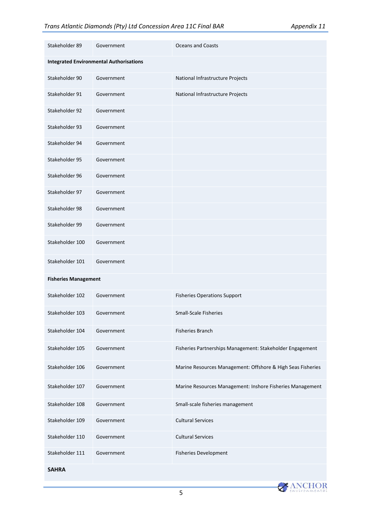| Stakeholder 89                                 | Government | <b>Oceans and Coasts</b>                                    |  |
|------------------------------------------------|------------|-------------------------------------------------------------|--|
| <b>Integrated Environmental Authorisations</b> |            |                                                             |  |
| Stakeholder 90                                 | Government | National Infrastructure Projects                            |  |
| Stakeholder 91                                 | Government | National Infrastructure Projects                            |  |
| Stakeholder 92                                 | Government |                                                             |  |
| Stakeholder 93                                 | Government |                                                             |  |
| Stakeholder 94                                 | Government |                                                             |  |
| Stakeholder 95                                 | Government |                                                             |  |
| Stakeholder 96                                 | Government |                                                             |  |
| Stakeholder 97                                 | Government |                                                             |  |
| Stakeholder 98                                 | Government |                                                             |  |
| Stakeholder 99                                 | Government |                                                             |  |
| Stakeholder 100                                | Government |                                                             |  |
| Stakeholder 101                                | Government |                                                             |  |
| <b>Fisheries Management</b>                    |            |                                                             |  |
| Stakeholder 102                                | Government | <b>Fisheries Operations Support</b>                         |  |
| Stakeholder 103                                | Government | <b>Small-Scale Fisheries</b>                                |  |
| Stakeholder 104                                | Government | <b>Fisheries Branch</b>                                     |  |
| Stakeholder 105                                | Government | Fisheries Partnerships Management: Stakeholder Engagement   |  |
| Stakeholder 106                                | Government | Marine Resources Management: Offshore & High Seas Fisheries |  |
| Stakeholder 107                                | Government | Marine Resources Management: Inshore Fisheries Management   |  |
| Stakeholder 108                                | Government | Small-scale fisheries management                            |  |
| Stakeholder 109                                | Government | <b>Cultural Services</b>                                    |  |
| Stakeholder 110                                | Government | <b>Cultural Services</b>                                    |  |
| Stakeholder 111                                | Government | <b>Fisheries Development</b>                                |  |
| <b>SAHRA</b>                                   |            |                                                             |  |

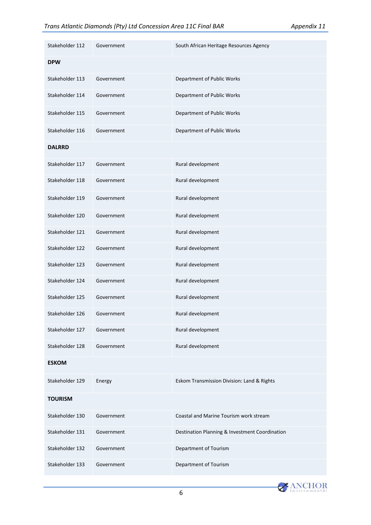| Stakeholder 112 | Government | South African Heritage Resources Agency        |
|-----------------|------------|------------------------------------------------|
| <b>DPW</b>      |            |                                                |
| Stakeholder 113 | Government | Department of Public Works                     |
| Stakeholder 114 | Government | Department of Public Works                     |
| Stakeholder 115 | Government | Department of Public Works                     |
| Stakeholder 116 | Government | Department of Public Works                     |
| <b>DALRRD</b>   |            |                                                |
| Stakeholder 117 | Government | Rural development                              |
| Stakeholder 118 | Government | Rural development                              |
| Stakeholder 119 | Government | Rural development                              |
| Stakeholder 120 | Government | Rural development                              |
| Stakeholder 121 | Government | Rural development                              |
| Stakeholder 122 | Government | Rural development                              |
| Stakeholder 123 | Government | Rural development                              |
| Stakeholder 124 | Government | Rural development                              |
| Stakeholder 125 | Government | Rural development                              |
| Stakeholder 126 | Government | Rural development                              |
| Stakeholder 127 | Government | Rural development                              |
| Stakeholder 128 | Government | Rural development                              |
| <b>ESKOM</b>    |            |                                                |
| Stakeholder 129 | Energy     | Eskom Transmission Division: Land & Rights     |
| <b>TOURISM</b>  |            |                                                |
| Stakeholder 130 | Government | Coastal and Marine Tourism work stream         |
| Stakeholder 131 | Government | Destination Planning & Investment Coordination |
| Stakeholder 132 | Government | Department of Tourism                          |
| Stakeholder 133 | Government | Department of Tourism                          |

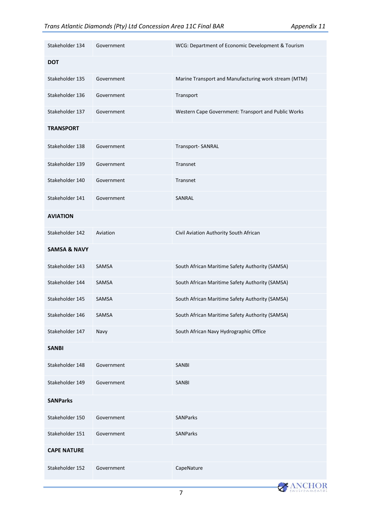| Stakeholder 134         | Government | WCG: Department of Economic Development & Tourism    |
|-------------------------|------------|------------------------------------------------------|
| <b>DOT</b>              |            |                                                      |
| Stakeholder 135         | Government | Marine Transport and Manufacturing work stream (MTM) |
| Stakeholder 136         | Government | Transport                                            |
| Stakeholder 137         | Government | Western Cape Government: Transport and Public Works  |
| <b>TRANSPORT</b>        |            |                                                      |
| Stakeholder 138         | Government | Transport-SANRAL                                     |
| Stakeholder 139         | Government | Transnet                                             |
| Stakeholder 140         | Government | Transnet                                             |
| Stakeholder 141         | Government | SANRAL                                               |
| <b>AVIATION</b>         |            |                                                      |
| Stakeholder 142         | Aviation   | Civil Aviation Authority South African               |
| <b>SAMSA &amp; NAVY</b> |            |                                                      |
| Stakeholder 143         | SAMSA      | South African Maritime Safety Authority (SAMSA)      |
| Stakeholder 144         | SAMSA      | South African Maritime Safety Authority (SAMSA)      |
| Stakeholder 145         | SAMSA      | South African Maritime Safety Authority (SAMSA)      |
| Stakeholder 146         | SAMSA      | South African Maritime Safety Authority (SAMSA)      |
| Stakeholder 147         | Navy       | South African Navy Hydrographic Office               |
| <b>SANBI</b>            |            |                                                      |
| Stakeholder 148         | Government | <b>SANBI</b>                                         |
| Stakeholder 149         | Government | SANBI                                                |
| <b>SANParks</b>         |            |                                                      |
| Stakeholder 150         | Government | <b>SANParks</b>                                      |
| Stakeholder 151         | Government | <b>SANParks</b>                                      |
| <b>CAPE NATURE</b>      |            |                                                      |
| Stakeholder 152         | Government | CapeNature                                           |

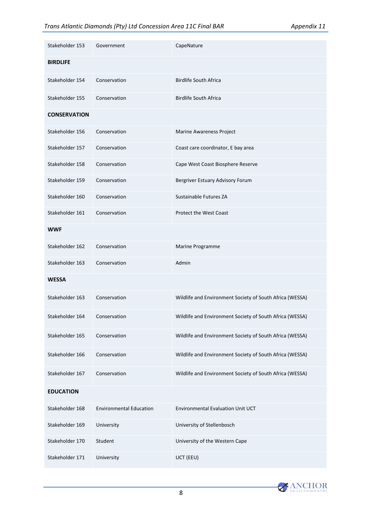| Stakeholder 153     | Government                     | CapeNature                                               |
|---------------------|--------------------------------|----------------------------------------------------------|
| <b>BIRDLIFE</b>     |                                |                                                          |
| Stakeholder 154     | Conservation                   | <b>Birdlife South Africa</b>                             |
| Stakeholder 155     | Conservation                   | <b>Birdlife South Africa</b>                             |
| <b>CONSERVATION</b> |                                |                                                          |
| Stakeholder 156     | Conservation                   | Marine Awareness Project                                 |
| Stakeholder 157     | Conservation                   | Coast care coordinator, E bay area                       |
| Stakeholder 158     | Conservation                   | Cape West Coast Biosphere Reserve                        |
| Stakeholder 159     | Conservation                   | Bergriver Estuary Advisory Forum                         |
| Stakeholder 160     | Conservation                   | Sustainable Futures ZA                                   |
| Stakeholder 161     | Conservation                   | <b>Protect the West Coast</b>                            |
| <b>WWF</b>          |                                |                                                          |
| Stakeholder 162     | Conservation                   | Marine Programme                                         |
| Stakeholder 163     | Conservation                   | Admin                                                    |
| WESSA               |                                |                                                          |
| Stakeholder 163     | Conservation                   | Wildlife and Environment Society of South Africa (WESSA) |
| Stakeholder 164     | Conservation                   | Wildlife and Environment Society of South Africa (WESSA) |
| Stakeholder 165     | Conservation                   | Wildlife and Environment Society of South Africa (WESSA) |
| Stakeholder 166     | Conservation                   | Wildlife and Environment Society of South Africa (WESSA) |
| Stakeholder 167     | Conservation                   | Wildlife and Environment Society of South Africa (WESSA) |
| <b>EDUCATION</b>    |                                |                                                          |
| Stakeholder 168     | <b>Environmental Education</b> | <b>Environmental Evaluation Unit UCT</b>                 |
| Stakeholder 169     | University                     | University of Stellenbosch                               |
| Stakeholder 170     | Student                        | University of the Western Cape                           |
| Stakeholder 171     | University                     | UCT (EEU)                                                |

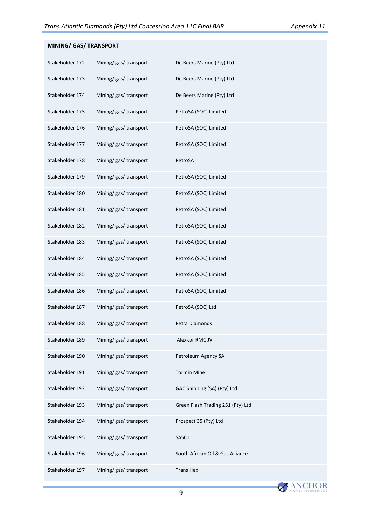| MINING/ GAS/ TRANSPORT |                        |                                   |
|------------------------|------------------------|-----------------------------------|
| Stakeholder 172        | Mining/ gas/ transport | De Beers Marine (Pty) Ltd         |
| Stakeholder 173        | Mining/ gas/ transport | De Beers Marine (Pty) Ltd         |
| Stakeholder 174        | Mining/ gas/ transport | De Beers Marine (Pty) Ltd         |
| Stakeholder 175        | Mining/gas/transport   | PetroSA (SOC) Limited             |
| Stakeholder 176        | Mining/ gas/ transport | PetroSA (SOC) Limited             |
| Stakeholder 177        | Mining/ gas/ transport | PetroSA (SOC) Limited             |
| Stakeholder 178        | Mining/gas/transport   | PetroSA                           |
| Stakeholder 179        | Mining/ gas/ transport | PetroSA (SOC) Limited             |
| Stakeholder 180        | Mining/gas/transport   | PetroSA (SOC) Limited             |
| Stakeholder 181        | Mining/ gas/ transport | PetroSA (SOC) Limited             |
| Stakeholder 182        | Mining/gas/transport   | PetroSA (SOC) Limited             |
| Stakeholder 183        | Mining/gas/transport   | PetroSA (SOC) Limited             |
| Stakeholder 184        | Mining/gas/transport   | PetroSA (SOC) Limited             |
| Stakeholder 185        | Mining/gas/transport   | PetroSA (SOC) Limited             |
| Stakeholder 186        | Mining/ gas/ transport | PetroSA (SOC) Limited             |
| Stakeholder 187        | Mining/gas/transport   | PetroSA (SOC) Ltd                 |
| Stakeholder 188        | Mining/gas/transport   | Petra Diamonds                    |
| Stakeholder 189        | Mining/ gas/ transport | Alexkor RMC JV                    |
| Stakeholder 190        | Mining/ gas/ transport | Petroleum Agency SA               |
| Stakeholder 191        | Mining/ gas/ transport | <b>Tormin Mine</b>                |
| Stakeholder 192        | Mining/ gas/ transport | GAC Shipping (SA) (Pty) Ltd       |
| Stakeholder 193        | Mining/ gas/ transport | Green Flash Trading 251 (Pty) Ltd |
| Stakeholder 194        | Mining/ gas/ transport | Prospect 35 (Pty) Ltd             |
| Stakeholder 195        | Mining/gas/transport   | SASOL                             |
| Stakeholder 196        | Mining/gas/transport   | South African Oil & Gas Alliance  |
| Stakeholder 197        | Mining/ gas/ transport | <b>Trans Hex</b>                  |

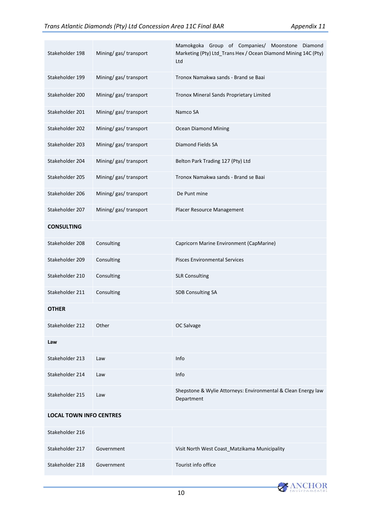| Stakeholder 198                | Mining/ gas/ transport | Mamokgoka Group of Companies/ Moonstone Diamond<br>Marketing (Pty) Ltd_Trans Hex / Ocean Diamond Mining 14C (Pty)<br>Ltd |  |
|--------------------------------|------------------------|--------------------------------------------------------------------------------------------------------------------------|--|
| Stakeholder 199                | Mining/ gas/ transport | Tronox Namakwa sands - Brand se Baai                                                                                     |  |
| Stakeholder 200                | Mining/ gas/ transport | Tronox Mineral Sands Proprietary Limited                                                                                 |  |
| Stakeholder 201                | Mining/ gas/ transport | Namco SA                                                                                                                 |  |
| Stakeholder 202                | Mining/ gas/ transport | <b>Ocean Diamond Mining</b>                                                                                              |  |
| Stakeholder 203                | Mining/gas/transport   | Diamond Fields SA                                                                                                        |  |
| Stakeholder 204                | Mining/ gas/ transport | Belton Park Trading 127 (Pty) Ltd                                                                                        |  |
| Stakeholder 205                | Mining/ gas/ transport | Tronox Namakwa sands - Brand se Baai                                                                                     |  |
| Stakeholder 206                | Mining/ gas/ transport | De Punt mine                                                                                                             |  |
| Stakeholder 207                | Mining/ gas/ transport | Placer Resource Management                                                                                               |  |
| <b>CONSULTING</b>              |                        |                                                                                                                          |  |
| Stakeholder 208                | Consulting             | Capricorn Marine Environment (CapMarine)                                                                                 |  |
| Stakeholder 209                | Consulting             | <b>Pisces Environmental Services</b>                                                                                     |  |
| Stakeholder 210                | Consulting             | <b>SLR Consulting</b>                                                                                                    |  |
| Stakeholder 211                | Consulting             | SDB Consulting SA                                                                                                        |  |
| OTHER                          |                        |                                                                                                                          |  |
| Stakeholder 212                | Other                  | OC Salvage                                                                                                               |  |
| Law                            |                        |                                                                                                                          |  |
| Stakeholder 213                | Law                    | Info                                                                                                                     |  |
| Stakeholder 214                | Law                    | Info                                                                                                                     |  |
| Stakeholder 215                | Law                    | Shepstone & Wylie Attorneys: Environmental & Clean Energy law<br>Department                                              |  |
| <b>LOCAL TOWN INFO CENTRES</b> |                        |                                                                                                                          |  |
| Stakeholder 216                |                        |                                                                                                                          |  |
| Stakeholder 217                | Government             | Visit North West Coast_Matzikama Municipality                                                                            |  |
| Stakeholder 218                | Government             | Tourist info office                                                                                                      |  |

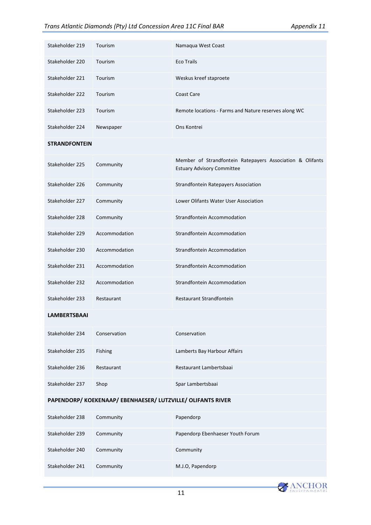| Stakeholder 219                                         | Tourism       | Namaqua West Coast                                                                             |
|---------------------------------------------------------|---------------|------------------------------------------------------------------------------------------------|
| Stakeholder 220                                         | Tourism       | <b>Eco Trails</b>                                                                              |
| Stakeholder 221                                         | Tourism       | Weskus kreef staproete                                                                         |
| Stakeholder 222                                         | Tourism       | <b>Coast Care</b>                                                                              |
| Stakeholder 223                                         | Tourism       | Remote locations - Farms and Nature reserves along WC                                          |
| Stakeholder 224                                         | Newspaper     | Ons Kontrei                                                                                    |
| <b>STRANDFONTEIN</b>                                    |               |                                                                                                |
| Stakeholder 225                                         | Community     | Member of Strandfontein Ratepayers Association & Olifants<br><b>Estuary Advisory Committee</b> |
| Stakeholder 226                                         | Community     | Strandfontein Ratepayers Association                                                           |
| Stakeholder 227                                         | Community     | Lower Olifants Water User Association                                                          |
| Stakeholder 228                                         | Community     | Strandfontein Accommodation                                                                    |
| Stakeholder 229                                         | Accommodation | Strandfontein Accommodation                                                                    |
| Stakeholder 230                                         | Accommodation | Strandfontein Accommodation                                                                    |
| Stakeholder 231                                         | Accommodation | Strandfontein Accommodation                                                                    |
| Stakeholder 232                                         | Accommodation | Strandfontein Accommodation                                                                    |
| Stakeholder 233                                         | Restaurant    | Restaurant Strandfontein                                                                       |
| <b>LAMBERTSBAAI</b>                                     |               |                                                                                                |
| Stakeholder 234                                         | Conservation  | Conservation                                                                                   |
| Stakeholder 235                                         | Fishing       | Lamberts Bay Harbour Affairs                                                                   |
| Stakeholder 236                                         | Restaurant    | Restaurant Lambertsbaai                                                                        |
| Stakeholder 237                                         | Shop          | Spar Lambertsbaai                                                                              |
| PAPENDORP/KOEKENAAP/EBENHAESER/LUTZVILLE/OLIFANTS RIVER |               |                                                                                                |
| Stakeholder 238                                         | Community     | Papendorp                                                                                      |
| Stakeholder 239                                         | Community     | Papendorp Ebenhaeser Youth Forum                                                               |
| Stakeholder 240                                         | Community     | Community                                                                                      |
| Stakeholder 241                                         | Community     | M.J.O, Papendorp                                                                               |

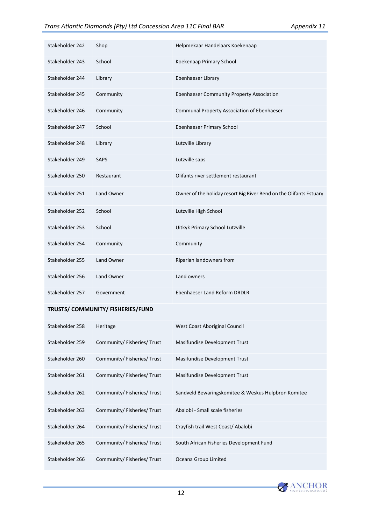| Stakeholder 242 | Shop        | Helpmekaar Handelaars Koekenaap                                    |
|-----------------|-------------|--------------------------------------------------------------------|
| Stakeholder 243 | School      | Koekenaap Primary School                                           |
| Stakeholder 244 | Library     | Ebenhaeser Library                                                 |
| Stakeholder 245 | Community   | Ebenhaeser Community Property Association                          |
| Stakeholder 246 | Community   | Communal Property Association of Ebenhaeser                        |
| Stakeholder 247 | School      | Ebenhaeser Primary School                                          |
| Stakeholder 248 | Library     | Lutzville Library                                                  |
| Stakeholder 249 | <b>SAPS</b> | Lutzville saps                                                     |
| Stakeholder 250 | Restaurant  | Olifants river settlement restaurant                               |
| Stakeholder 251 | Land Owner  | Owner of the holiday resort Big River Bend on the Olifants Estuary |
| Stakeholder 252 | School      | Lutzville High School                                              |
| Stakeholder 253 | School      | Uitkyk Primary School Lutzville                                    |
| Stakeholder 254 | Community   | Community                                                          |
| Stakeholder 255 | Land Owner  | Riparian landowners from                                           |
| Stakeholder 256 | Land Owner  | Land owners                                                        |
| Stakeholder 257 | Government  | Ebenhaeser Land Reform DRDLR                                       |

#### **TRUSTS/ COMMUNITY/ FISHERIES/FUND**

| Stakeholder 258 | Heritage                  | West Coast Aboriginal Council                       |
|-----------------|---------------------------|-----------------------------------------------------|
| Stakeholder 259 | Community/Fisheries/Trust | Masifundise Development Trust                       |
| Stakeholder 260 | Community/Fisheries/Trust | Masifundise Development Trust                       |
| Stakeholder 261 | Community/Fisheries/Trust | Masifundise Development Trust                       |
| Stakeholder 262 | Community/Fisheries/Trust | Sandveld Bewaringskomitee & Weskus Hulpbron Komitee |
| Stakeholder 263 | Community/Fisheries/Trust | Abalobi - Small scale fisheries                     |
| Stakeholder 264 | Community/Fisheries/Trust | Crayfish trail West Coast/Abalobi                   |
| Stakeholder 265 | Community/Fisheries/Trust | South African Fisheries Development Fund            |
| Stakeholder 266 | Community/Fisheries/Trust | Oceana Group Limited                                |

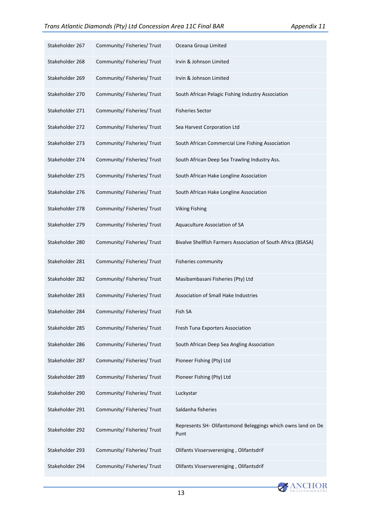| Stakeholder 267 | Community/Fisheries/Trust   | Oceana Group Limited                                                 |
|-----------------|-----------------------------|----------------------------------------------------------------------|
| Stakeholder 268 | Community/Fisheries/Trust   | Irvin & Johnson Limited                                              |
| Stakeholder 269 | Community/Fisheries/Trust   | Irvin & Johnson Limited                                              |
| Stakeholder 270 | Community/ Fisheries/ Trust | South African Pelagic Fishing Industry Association                   |
| Stakeholder 271 | Community/Fisheries/Trust   | <b>Fisheries Sector</b>                                              |
| Stakeholder 272 | Community/Fisheries/Trust   | Sea Harvest Corporation Ltd                                          |
| Stakeholder 273 | Community/ Fisheries/ Trust | South African Commercial Line Fishing Association                    |
| Stakeholder 274 | Community/Fisheries/Trust   | South African Deep Sea Trawling Industry Ass.                        |
| Stakeholder 275 | Community/Fisheries/Trust   | South African Hake Longline Association                              |
| Stakeholder 276 | Community/ Fisheries/ Trust | South African Hake Longline Association                              |
| Stakeholder 278 | Community/Fisheries/Trust   | <b>Viking Fishing</b>                                                |
| Stakeholder 279 | Community/Fisheries/Trust   | Aquaculture Association of SA                                        |
| Stakeholder 280 | Community/Fisheries/Trust   | Bivalve Shellfish Farmers Association of South Africa (BSASA)        |
| Stakeholder 281 | Community/Fisheries/Trust   | Fisheries community                                                  |
| Stakeholder 282 | Community/Fisheries/Trust   | Masibambasani Fisheries (Pty) Ltd                                    |
| Stakeholder 283 | Community/Fisheries/Trust   | Association of Small Hake Industries                                 |
| Stakeholder 284 | Community/Fisheries/Trust   | Fish SA                                                              |
| Stakeholder 285 | Community/ Fisheries/ Trust | Fresh Tuna Exporters Association                                     |
| Stakeholder 286 | Community/Fisheries/Trust   | South African Deep Sea Angling Association                           |
| Stakeholder 287 | Community/ Fisheries/ Trust | Pioneer Fishing (Pty) Ltd                                            |
| Stakeholder 289 | Community/ Fisheries/ Trust | Pioneer Fishing (Pty) Ltd                                            |
| Stakeholder 290 | Community/ Fisheries/ Trust | Luckystar                                                            |
| Stakeholder 291 | Community/ Fisheries/ Trust | Saldanha fisheries                                                   |
| Stakeholder 292 | Community/Fisheries/Trust   | Represents SH- Olifantsmond Beleggings which owns land on De<br>Punt |
| Stakeholder 293 | Community/ Fisheries/ Trust | Olifants Vissersvereniging, Olifantsdrif                             |
| Stakeholder 294 | Community/ Fisheries/ Trust | Olifants Vissersvereniging, Olifantsdrif                             |

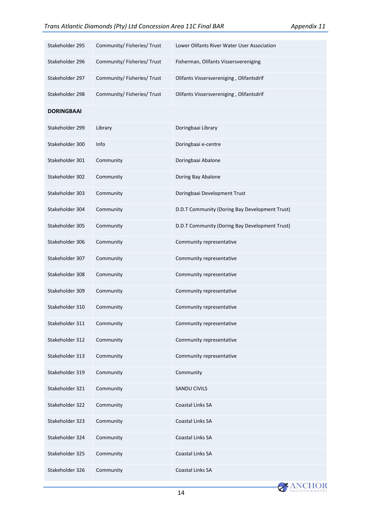| Stakeholder 295   | Community/Fisheries/Trust   | Lower Olifants River Water User Association    |  |  |  |
|-------------------|-----------------------------|------------------------------------------------|--|--|--|
| Stakeholder 296   | Community/ Fisheries/ Trust | Fisherman, Olifants Vissersvereniging          |  |  |  |
| Stakeholder 297   | Community/Fisheries/Trust   | Olifants Vissersvereniging, Olifantsdrif       |  |  |  |
| Stakeholder 298   | Community/ Fisheries/ Trust | Olifants Vissersvereniging, Olifantsdrif       |  |  |  |
| <b>DORINGBAAI</b> |                             |                                                |  |  |  |
| Stakeholder 299   | Library                     | Doringbaai Library                             |  |  |  |
| Stakeholder 300   | Info                        | Doringbaai e-centre                            |  |  |  |
| Stakeholder 301   | Community                   | Doringbaai Abalone                             |  |  |  |
| Stakeholder 302   | Community                   | Doring Bay Abalone                             |  |  |  |
| Stakeholder 303   | Community                   | Doringbaai Development Trust                   |  |  |  |
| Stakeholder 304   | Community                   | D.D.T Community (Doring Bay Development Trust) |  |  |  |
| Stakeholder 305   | Community                   | D.D.T Community (Doring Bay Development Trust) |  |  |  |
| Stakeholder 306   | Community                   | Community representative                       |  |  |  |
| Stakeholder 307   | Community                   | Community representative                       |  |  |  |
| Stakeholder 308   | Community                   | Community representative                       |  |  |  |
| Stakeholder 309   | Community                   | Community representative                       |  |  |  |
| Stakeholder 310   | Community                   | Community representative                       |  |  |  |
| Stakeholder 311   | Community                   | Community representative                       |  |  |  |
| Stakeholder 312   | Community                   | Community representative                       |  |  |  |
| Stakeholder 313   | Community                   | Community representative                       |  |  |  |
| Stakeholder 319   | Community                   | Community                                      |  |  |  |
| Stakeholder 321   | Community                   | <b>SANDU CIVILS</b>                            |  |  |  |
| Stakeholder 322   | Community                   | Coastal Links SA                               |  |  |  |
| Stakeholder 323   | Community                   | Coastal Links SA                               |  |  |  |
| Stakeholder 324   | Community                   | Coastal Links SA                               |  |  |  |
| Stakeholder 325   | Community                   | Coastal Links SA                               |  |  |  |
| Stakeholder 326   | Community                   | Coastal Links SA                               |  |  |  |